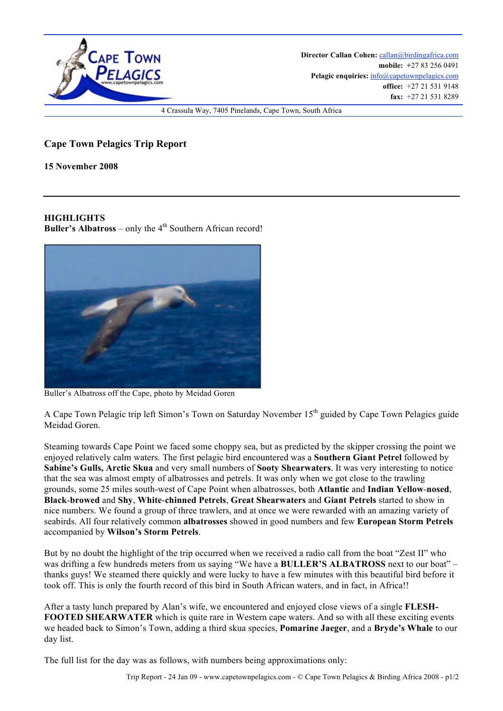

## **Cape Town Pelagics Trip Report**

**15 November 2008**

## **HIGHLIGHTS**

**Buller's Albatross** – only the  $4<sup>th</sup>$  Southern African record!



Buller's Albatross off the Cape, photo by Meidad Goren

A Cape Town Pelagic trip left Simon's Town on Saturday November 15<sup>th</sup> guided by Cape Town Pelagics guide Meidad Goren.

Steaming towards Cape Point we faced some choppy sea, but as predicted by the skipper crossing the point we enjoyed relatively calm waters. The first pelagic bird encountered was a **Southern Giant Petrel** followed by **Sabine's Gulls, Arctic Skua** and very small numbers of **Sooty Shearwaters**. It was very interesting to notice that the sea was almost empty of albatrosses and petrels. It was only when we got close to the trawling grounds, some 25 miles south-west of Cape Point when albatrosses, both **Atlantic** and **Indian Yellow**-**nosed**, **Black**-**browed** and **Shy**, **White**-**chinned Petrels**, **Great Shearwaters** and **Giant Petrels** started to show in nice numbers. We found a group of three trawlers, and at once we were rewarded with an amazing variety of seabirds. All four relatively common **albatrosses** showed in good numbers and few **European Storm Petrels** accompanied by **Wilson's Storm Petrels**.

But by no doubt the highlight of the trip occurred when we received a radio call from the boat "Zest II" who was drifting a few hundreds meters from us saying "We have a **BULLER'S ALBATROSS** next to our boat" – thanks guys! We steamed there quickly and were lucky to have a few minutes with this beautiful bird before it took off. This is only the fourth record of this bird in South African waters, and in fact, in Africa!!

After a tasty lunch prepared by Alan's wife, we encountered and enjoyed close views of a single **FLESH-FOOTED SHEARWATER** which is quite rare in Western cape waters. And so with all these exciting events we headed back to Simon's Town, adding a third skua species, **Pomarine Jaeger**, and a **Bryde's Whale** to our day list.

The full list for the day was as follows, with numbers being approximations only: